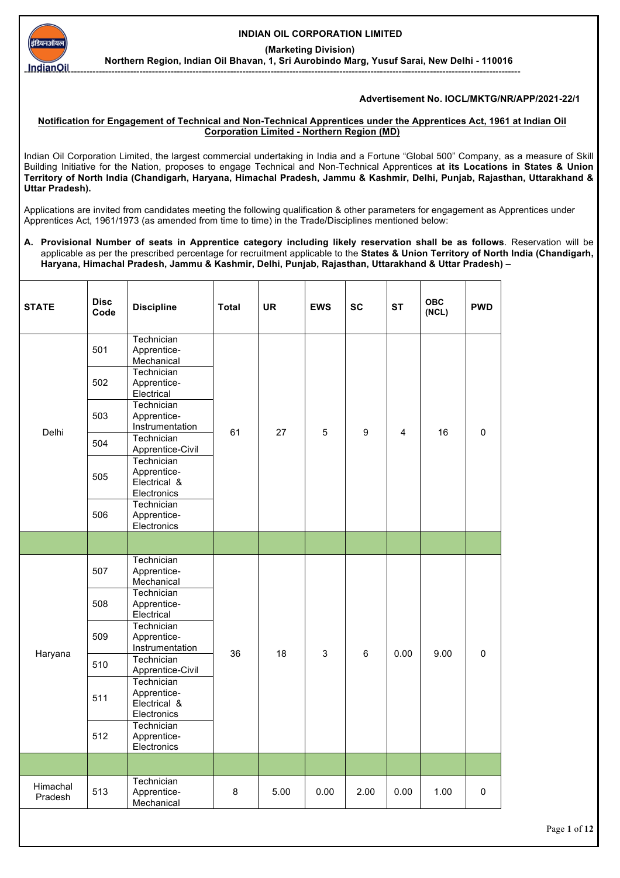**INDIAN OIL CORPORATION LIMITED**

 **(Marketing Division)**



**Northern Region, Indian Oil Bhavan, 1, Sri Aurobindo Marg, Yusuf Sarai, New Delhi - 110016**

**Advertisement No. IOCL/MKTG/NR/APP/2021-22/1** 

# **Notification for Engagement of Technical and Non-Technical Apprentices under the Apprentices Act, 1961 at Indian Oil Corporation Limited - Northern Region (MD)**

Indian Oil Corporation Limited, the largest commercial undertaking in India and a Fortune "Global 500" Company, as a measure of Skill Building Initiative for the Nation, proposes to engage Technical and Non-Technical Apprentices **at its Locations in States & Union Territory of North India (Chandigarh, Haryana, Himachal Pradesh, Jammu & Kashmir, Delhi, Punjab, Rajasthan, Uttarakhand & Uttar Pradesh).**

Applications are invited from candidates meeting the following qualification & other parameters for engagement as Apprentices under Apprentices Act, 1961/1973 (as amended from time to time) in the Trade/Disciplines mentioned below:

**A. Provisional Number of seats in Apprentice category including likely reservation shall be as follows**. Reservation will be applicable as per the prescribed percentage for recruitment applicable to the **States & Union Territory of North India (Chandigarh, Haryana, Himachal Pradesh, Jammu & Kashmir, Delhi, Punjab, Rajasthan, Uttarakhand & Uttar Pradesh) –**

| <b>STATE</b>        | <b>Disc</b><br>Code | <b>Discipline</b>                                        | <b>Total</b> | <b>UR</b> | <b>EWS</b>     | <b>SC</b> | <b>ST</b> | <b>OBC</b><br>(NCL) | <b>PWD</b> |
|---------------------|---------------------|----------------------------------------------------------|--------------|-----------|----------------|-----------|-----------|---------------------|------------|
|                     | 501                 | Technician<br>Apprentice-<br>Mechanical                  |              |           |                |           |           |                     |            |
|                     | 502                 | Technician<br>Apprentice-<br>Electrical                  |              | 27        |                |           |           |                     |            |
| Delhi               | 503                 | Technician<br>Apprentice-<br>Instrumentation             | 61           |           | $\overline{5}$ | 9         | 4         | 16                  | 0          |
|                     | 504                 | Technician<br>Apprentice-Civil                           |              |           |                |           |           |                     |            |
|                     | 505                 | Technician<br>Apprentice-<br>Electrical &<br>Electronics |              |           |                |           |           |                     |            |
|                     | 506                 | Technician<br>Apprentice-<br>Electronics                 |              |           |                |           |           |                     |            |
|                     |                     |                                                          |              |           |                |           |           |                     |            |
|                     | 507                 | Technician<br>Apprentice-<br>Mechanical                  |              |           |                | 6         | 0.00      | 9.00                |            |
|                     | 508                 | Technician<br>Apprentice-<br>Electrical                  |              |           | $\mathsf 3$    |           |           |                     |            |
|                     | 509                 | Technician<br>Apprentice-<br>Instrumentation             |              |           |                |           |           |                     |            |
| Haryana             | 510                 | Technician<br>Apprentice-Civil                           | 36           | 18        |                |           |           |                     | 0          |
|                     | 511                 | Technician<br>Apprentice-<br>Electrical &<br>Electronics |              |           |                |           |           |                     |            |
|                     | 512                 | Technician<br>Apprentice-<br>Electronics                 |              |           |                |           |           |                     |            |
|                     |                     |                                                          |              |           |                |           |           |                     |            |
| Himachal<br>Pradesh | 513                 | Technician<br>Apprentice-<br>Mechanical                  | 8            | 5.00      | 0.00           | 2.00      | 0.00      | 1.00                | 0          |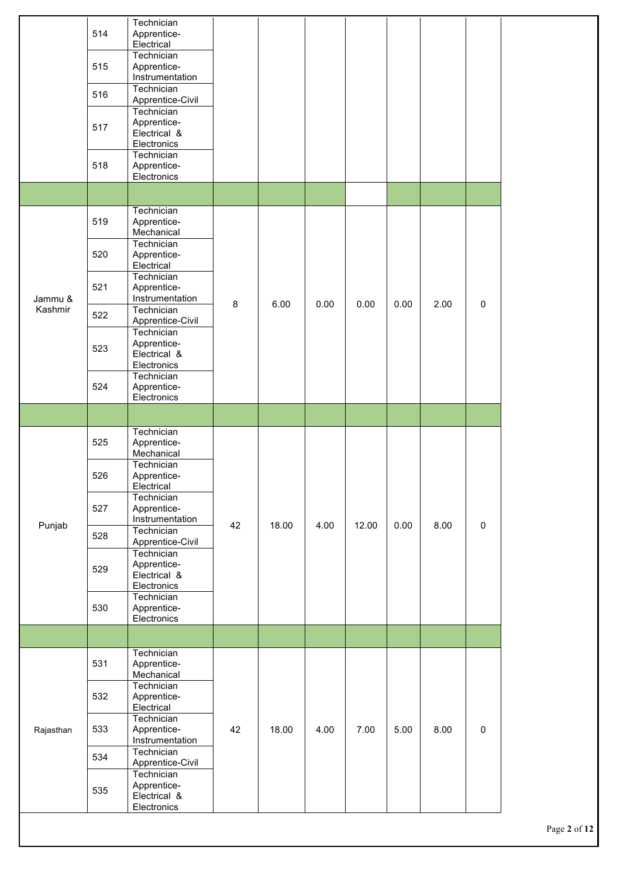|           | 514 | Technician<br>Apprentice-<br>Electrical                  |         |       |      |       |      |      |                     |
|-----------|-----|----------------------------------------------------------|---------|-------|------|-------|------|------|---------------------|
|           | 515 | Technician<br>Apprentice-<br>Instrumentation             |         |       |      |       |      |      |                     |
|           | 516 | Technician<br>Apprentice-Civil                           |         |       |      |       |      |      |                     |
|           | 517 | Technician<br>Apprentice-<br>Electrical &<br>Electronics |         |       |      |       |      |      |                     |
|           | 518 | Technician<br>Apprentice-<br>Electronics                 |         |       |      |       |      |      |                     |
|           |     |                                                          |         |       |      |       |      |      |                     |
|           | 519 | Technician<br>Apprentice-<br>Mechanical                  |         |       |      |       |      |      |                     |
|           | 520 | Technician<br>Apprentice-<br>Electrical<br>Technician    |         |       |      |       |      |      |                     |
| Jammu &   | 521 | Apprentice-<br>Instrumentation                           |         |       |      |       |      |      |                     |
| Kashmir   | 522 | Technician<br>Apprentice-Civil                           | $\bf 8$ | 6.00  | 0.00 | 0.00  | 0.00 | 2.00 | $\pmb{0}$           |
|           | 523 | Technician<br>Apprentice-<br>Electrical &                |         |       |      |       |      |      |                     |
|           | 524 | Electronics<br>Technician<br>Apprentice-<br>Electronics  |         |       |      |       |      |      |                     |
|           |     |                                                          |         |       |      |       |      |      |                     |
|           | 525 | Technician<br>Apprentice-<br>Mechanical                  | 42      | 18.00 | 4.00 | 12.00 | 0.00 | 8.00 | $\mathsf{O}\xspace$ |
|           | 526 | Technician<br>Apprentice-<br>Electrical                  |         |       |      |       |      |      |                     |
| Punjab    | 527 | Technician<br>Apprentice-<br>Instrumentation             |         |       |      |       |      |      |                     |
|           | 528 | Technician<br>Apprentice-Civil                           |         |       |      |       |      |      |                     |
|           | 529 | Technician<br>Apprentice-<br>Electrical &<br>Electronics |         |       |      |       |      |      |                     |
|           | 530 | Technician<br>Apprentice-<br>Electronics                 |         |       |      |       |      |      |                     |
|           |     |                                                          |         |       |      |       |      |      |                     |
|           | 531 | Technician<br>Apprentice-<br>Mechanical                  |         |       |      |       |      |      |                     |
|           | 532 | Technician<br>Apprentice-<br>Electrical                  |         |       |      |       |      |      |                     |
| Rajasthan | 533 | Technician<br>Apprentice-<br>Instrumentation             | 42      | 18.00 | 4.00 | 7.00  | 5.00 | 8.00 | $\pmb{0}$           |
|           | 534 | Technician<br>Apprentice-Civil                           |         |       |      |       |      |      |                     |
|           | 535 | Technician<br>Apprentice-<br>Electrical &<br>Electronics |         |       |      |       |      |      |                     |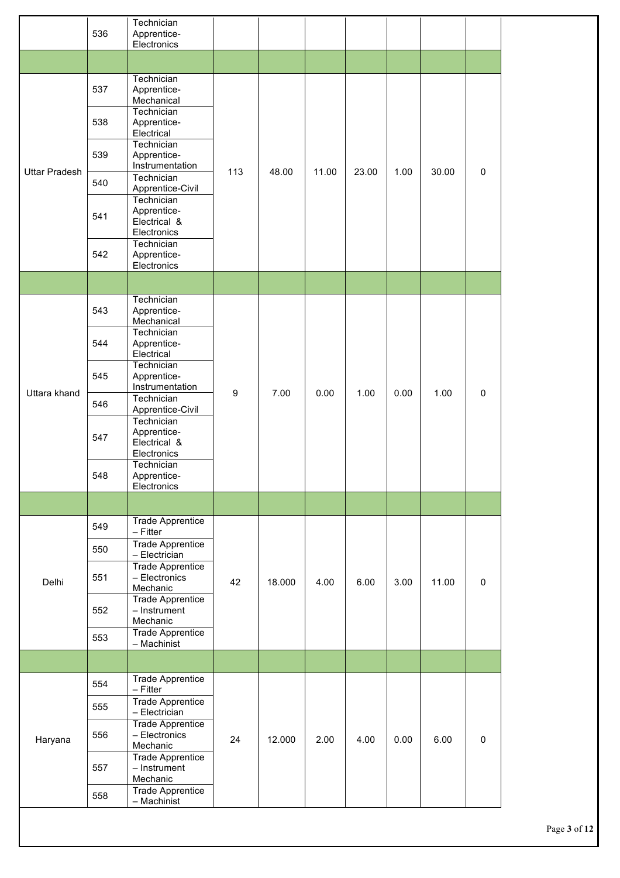|                      | 536 | Technician<br>Apprentice-<br>Electronics                 |     |        |       |       |      |       |             |  |
|----------------------|-----|----------------------------------------------------------|-----|--------|-------|-------|------|-------|-------------|--|
|                      |     |                                                          |     |        |       |       |      |       |             |  |
|                      | 537 | Technician<br>Apprentice-<br>Mechanical                  |     |        |       |       |      |       |             |  |
|                      | 538 | Technician<br>Apprentice-<br>Electrical                  |     |        |       |       |      |       |             |  |
|                      | 539 | Technician<br>Apprentice-<br>Instrumentation             |     |        |       |       |      |       |             |  |
| <b>Uttar Pradesh</b> | 540 | Technician<br>Apprentice-Civil                           | 113 | 48.00  | 11.00 | 23.00 | 1.00 | 30.00 | $\mathbf 0$ |  |
|                      | 541 | Technician<br>Apprentice-<br>Electrical &<br>Electronics |     |        |       |       |      |       |             |  |
|                      | 542 | Technician<br>Apprentice-<br>Electronics                 |     |        |       |       |      |       |             |  |
|                      |     |                                                          |     |        |       |       |      |       |             |  |
|                      | 543 | Technician<br>Apprentice-<br>Mechanical                  |     |        |       |       |      |       |             |  |
|                      | 544 | Technician<br>Apprentice-<br>Electrical                  | 9   | 7.00   |       | 1.00  |      |       |             |  |
| Uttara khand         | 545 | Technician<br>Apprentice-<br>Instrumentation             |     |        |       |       |      |       |             |  |
|                      | 546 | Technician<br>Apprentice-Civil                           |     |        | 0.00  |       | 0.00 | 1.00  | $\mathbf 0$ |  |
|                      | 547 | Technician<br>Apprentice-<br>Electrical &<br>Electronics |     |        |       |       |      |       |             |  |
|                      | 548 | Technician<br>Apprentice-<br>Electronics                 |     |        |       |       |      |       |             |  |
|                      |     |                                                          |     |        |       |       |      |       |             |  |
|                      | 549 | <b>Trade Apprentice</b><br>$-$ Fitter                    |     | 18.000 | 4.00  | 6.00  | 3.00 | 11.00 |             |  |
|                      | 550 | <b>Trade Apprentice</b><br>- Electrician                 |     |        |       |       |      |       |             |  |
| Delhi                | 551 | <b>Trade Apprentice</b><br>- Electronics<br>Mechanic     | 42  |        |       |       |      |       | $\mathbf 0$ |  |
|                      | 552 | <b>Trade Apprentice</b><br>- Instrument<br>Mechanic      |     |        |       |       |      |       |             |  |
|                      | 553 | <b>Trade Apprentice</b><br>- Machinist                   |     |        |       |       |      |       |             |  |
|                      |     |                                                          |     |        |       |       |      |       |             |  |
|                      | 554 | <b>Trade Apprentice</b><br>$-$ Fitter                    |     |        |       |       |      |       |             |  |
| Haryana              | 555 | <b>Trade Apprentice</b><br>- Electrician                 |     |        |       | 4.00  |      |       |             |  |
|                      | 556 | <b>Trade Apprentice</b><br>- Electronics<br>Mechanic     | 24  | 12.000 | 2.00  |       | 0.00 | 6.00  | $\mathbf 0$ |  |
|                      | 557 | <b>Trade Apprentice</b><br>- Instrument<br>Mechanic      |     |        |       |       |      |       |             |  |
|                      | 558 | <b>Trade Apprentice</b><br>- Machinist                   |     |        |       |       |      |       |             |  |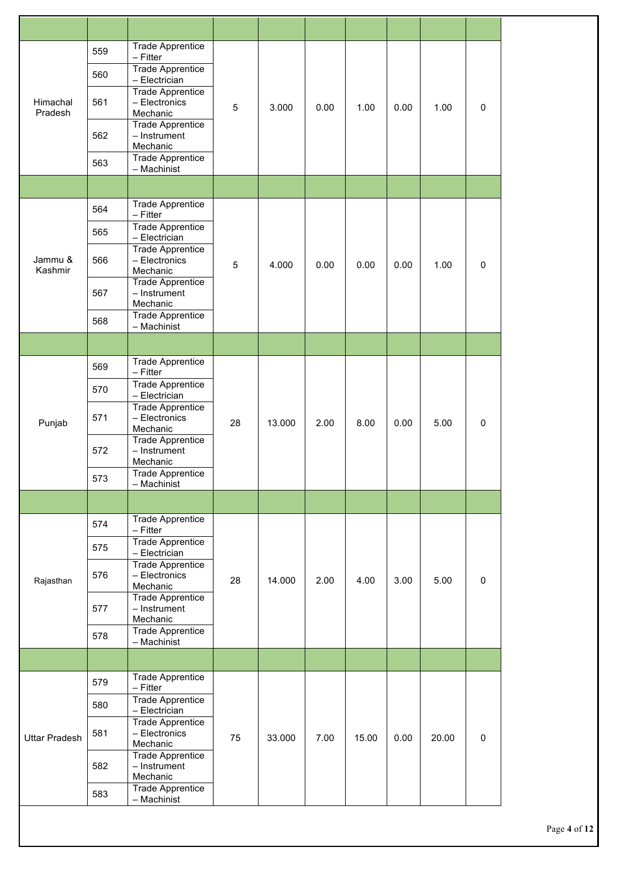|                      | 559 | <b>Trade Apprentice</b><br>- Fitter                  |    | 3.000  | 0.00 | 1.00  |      |       | $\pmb{0}$   |
|----------------------|-----|------------------------------------------------------|----|--------|------|-------|------|-------|-------------|
|                      | 560 | <b>Trade Apprentice</b><br>- Electrician             |    |        |      |       |      |       |             |
| Himachal<br>Pradesh  | 561 | <b>Trade Apprentice</b><br>- Electronics<br>Mechanic | 5  |        |      |       | 0.00 | 1.00  |             |
|                      | 562 | <b>Trade Apprentice</b><br>- Instrument<br>Mechanic  |    |        |      |       |      |       |             |
|                      | 563 | <b>Trade Apprentice</b><br>- Machinist               |    |        |      |       |      |       |             |
|                      |     |                                                      |    |        |      |       |      |       |             |
|                      | 564 | <b>Trade Apprentice</b><br>- Fitter                  |    |        |      |       |      |       |             |
|                      | 565 | <b>Trade Apprentice</b><br>- Electrician             |    |        |      |       |      |       |             |
| Jammu &<br>Kashmir   | 566 | <b>Trade Apprentice</b><br>- Electronics<br>Mechanic | 5  | 4.000  | 0.00 | 0.00  | 0.00 | 1.00  | 0           |
|                      | 567 | <b>Trade Apprentice</b><br>- Instrument<br>Mechanic  |    |        |      |       |      |       |             |
|                      | 568 | <b>Trade Apprentice</b><br>- Machinist               |    |        |      |       |      |       |             |
|                      |     |                                                      |    |        |      |       |      |       |             |
|                      | 569 | <b>Trade Apprentice</b><br>- Fitter                  |    | 13.000 | 2.00 | 8.00  | 0.00 | 5.00  |             |
|                      | 570 | <b>Trade Apprentice</b><br>- Electrician             | 28 |        |      |       |      |       |             |
| Punjab               | 571 | <b>Trade Apprentice</b><br>- Electronics<br>Mechanic |    |        |      |       |      |       | $\pmb{0}$   |
|                      | 572 | <b>Trade Apprentice</b><br>- Instrument<br>Mechanic  |    |        |      |       |      |       |             |
|                      | 573 | <b>Trade Apprentice</b><br>– Machinist               |    |        |      |       |      |       |             |
|                      |     |                                                      |    |        |      |       |      |       |             |
|                      | 574 | <b>Trade Apprentice</b><br>- Fitter                  |    | 14.000 |      | 4.00  | 3.00 | 5.00  |             |
|                      | 575 | <b>Trade Apprentice</b><br>- Electrician             |    |        |      |       |      |       |             |
| Rajasthan            | 576 | <b>Trade Apprentice</b><br>- Electronics<br>Mechanic | 28 |        | 2.00 |       |      |       | $\pmb{0}$   |
|                      | 577 | <b>Trade Apprentice</b><br>- Instrument<br>Mechanic  |    |        |      |       |      |       |             |
|                      | 578 | <b>Trade Apprentice</b><br>- Machinist               |    |        |      |       |      |       |             |
|                      |     |                                                      |    |        |      |       |      |       |             |
|                      | 579 | <b>Trade Apprentice</b><br>- Fitter                  |    |        |      |       |      |       |             |
|                      | 580 | <b>Trade Apprentice</b><br>- Electrician             |    |        |      |       |      |       |             |
| <b>Uttar Pradesh</b> | 581 | <b>Trade Apprentice</b><br>- Electronics<br>Mechanic | 75 | 33.000 | 7.00 | 15.00 | 0.00 | 20.00 | $\mathbf 0$ |
|                      | 582 | <b>Trade Apprentice</b><br>- Instrument<br>Mechanic  |    |        |      |       |      |       |             |
|                      | 583 | <b>Trade Apprentice</b><br>- Machinist               |    |        |      |       |      |       |             |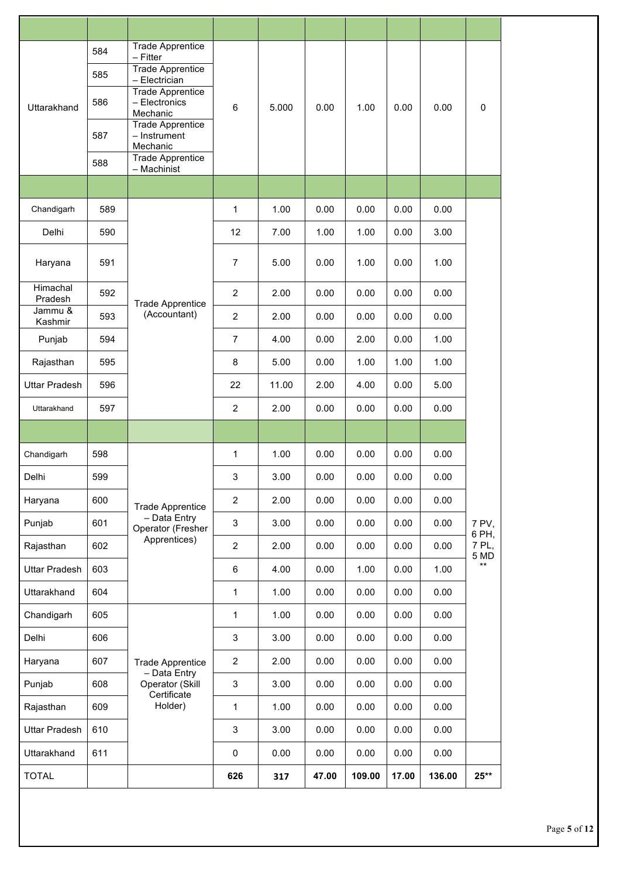| Uttarakhand          | 584 | <b>Trade Apprentice</b><br>- Fitter<br><b>Trade Apprentice</b><br>- Electrician<br><b>Trade Apprentice</b><br>- Electronics<br>Mechanic |                |       |       |        |       |        |                      |
|----------------------|-----|-----------------------------------------------------------------------------------------------------------------------------------------|----------------|-------|-------|--------|-------|--------|----------------------|
|                      | 585 |                                                                                                                                         |                |       |       |        |       |        |                      |
|                      | 586 |                                                                                                                                         | $\,6$          | 5.000 | 0.00  | 1.00   | 0.00  | 0.00   | 0                    |
|                      | 587 | <b>Trade Apprentice</b><br>- Instrument<br>Mechanic                                                                                     |                |       |       |        |       |        |                      |
|                      | 588 | Trade Apprentice<br>- Machinist                                                                                                         |                |       |       |        |       |        |                      |
|                      |     |                                                                                                                                         |                |       |       |        |       |        |                      |
| Chandigarh           | 589 |                                                                                                                                         | $\mathbf{1}$   | 1.00  | 0.00  | 0.00   | 0.00  | 0.00   |                      |
| Delhi                | 590 |                                                                                                                                         | 12             | 7.00  | 1.00  | 1.00   | 0.00  | 3.00   |                      |
| Haryana              | 591 |                                                                                                                                         | $\overline{7}$ | 5.00  | 0.00  | 1.00   | 0.00  | 1.00   |                      |
| Himachal<br>Pradesh  | 592 | <b>Trade Apprentice</b><br>(Accountant)                                                                                                 | $\overline{2}$ | 2.00  | 0.00  | 0.00   | 0.00  | 0.00   |                      |
| Jammu &<br>Kashmir   | 593 |                                                                                                                                         | $\overline{2}$ | 2.00  | 0.00  | 0.00   | 0.00  | 0.00   |                      |
| Punjab               | 594 |                                                                                                                                         | $\overline{7}$ | 4.00  | 0.00  | 2.00   | 0.00  | 1.00   |                      |
| Rajasthan            | 595 |                                                                                                                                         | 8              | 5.00  | 0.00  | 1.00   | 1.00  | 1.00   |                      |
| <b>Uttar Pradesh</b> | 596 |                                                                                                                                         | 22             | 11.00 | 2.00  | 4.00   | 0.00  | 5.00   |                      |
| Uttarakhand          | 597 |                                                                                                                                         | $\overline{2}$ | 2.00  | 0.00  | 0.00   | 0.00  | 0.00   |                      |
|                      |     |                                                                                                                                         |                |       |       |        |       |        |                      |
| Chandigarh           | 598 |                                                                                                                                         | 1              | 1.00  | 0.00  | 0.00   | 0.00  | 0.00   |                      |
| Delhi                | 599 |                                                                                                                                         | 3              | 3.00  | 0.00  | 0.00   | 0.00  | 0.00   |                      |
| Haryana              | 600 | <b>Trade Apprentice</b>                                                                                                                 | $\overline{2}$ | 2.00  | 0.00  | 0.00   | 0.00  | 0.00   |                      |
| Punjab               | 601 | - Data Entry<br>Operator (Fresher                                                                                                       | 3              | 3.00  | 0.00  | 0.00   | 0.00  | 0.00   | 7 PV,                |
| Rajasthan            | 602 | Apprentices)                                                                                                                            | $\overline{c}$ | 2.00  | 0.00  | 0.00   | 0.00  | 0.00   | 6 PH,<br>7 PL,       |
| <b>Uttar Pradesh</b> | 603 |                                                                                                                                         | $\,6$          | 4.00  | 0.00  | 1.00   | 0.00  | 1.00   | 5 MD<br>$\star\star$ |
| Uttarakhand          | 604 |                                                                                                                                         | 1              | 1.00  | 0.00  | 0.00   | 0.00  | 0.00   |                      |
| Chandigarh           | 605 |                                                                                                                                         | $\mathbf{1}$   | 1.00  | 0.00  | 0.00   | 0.00  | 0.00   |                      |
| Delhi                | 606 |                                                                                                                                         | 3              | 3.00  | 0.00  | 0.00   | 0.00  | 0.00   |                      |
| Haryana              | 607 | <b>Trade Apprentice</b>                                                                                                                 | $\overline{2}$ | 2.00  | 0.00  | 0.00   | 0.00  | 0.00   |                      |
| Punjab               | 608 | - Data Entry<br>Operator (Skill<br>Certificate                                                                                          | 3              | 3.00  | 0.00  | 0.00   | 0.00  | 0.00   |                      |
| Rajasthan            | 609 | Holder)                                                                                                                                 | $\mathbf{1}$   | 1.00  | 0.00  | 0.00   | 0.00  | 0.00   |                      |
| <b>Uttar Pradesh</b> | 610 |                                                                                                                                         | 3              | 3.00  | 0.00  | 0.00   | 0.00  | 0.00   |                      |
| Uttarakhand          | 611 |                                                                                                                                         | 0              | 0.00  | 0.00  | 0.00   | 0.00  | 0.00   |                      |
| <b>TOTAL</b>         |     |                                                                                                                                         | 626            | 317   | 47.00 | 109.00 | 17.00 | 136.00 | $25**$               |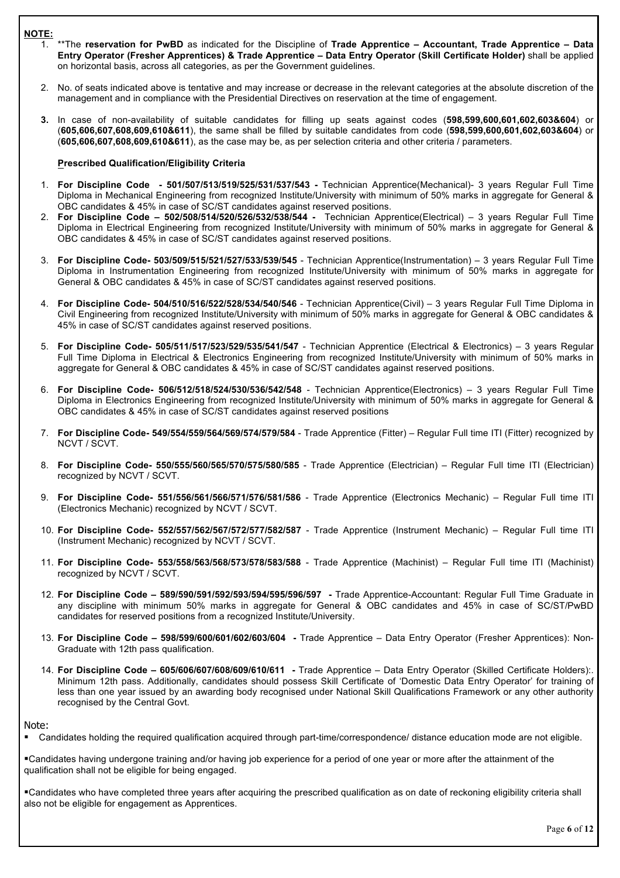# **NOTE:**

- 1. \*\*The **reservation for PwBD** as indicated for the Discipline of **Trade Apprentice – Accountant, Trade Apprentice – Data Entry Operator (Fresher Apprentices) & Trade Apprentice – Data Entry Operator (Skill Certificate Holder)** shall be applied on horizontal basis, across all categories, as per the Government guidelines.
- 2. No. of seats indicated above is tentative and may increase or decrease in the relevant categories at the absolute discretion of the management and in compliance with the Presidential Directives on reservation at the time of engagement.
- **3.** In case of non-availability of suitable candidates for filling up seats against codes (**598,599,600,601,602,603&604**) or (**605,606,607,608,609,610&611**), the same shall be filled by suitable candidates from code (**598,599,600,601,602,603&604**) or (**605,606,607,608,609,610&611**), as the case may be, as per selection criteria and other criteria / parameters.

# **Prescribed Qualification/Eligibility Criteria**

- 1. **For Discipline Code - 501/507/513/519/525/531/537/543 -** Technician Apprentice(Mechanical)- 3 years Regular Full Time Diploma in Mechanical Engineering from recognized Institute/University with minimum of 50% marks in aggregate for General & OBC candidates & 45% in case of SC/ST candidates against reserved positions.
- 2. **For Discipline Code – 502/508/514/520/526/532/538/544** Technician Apprentice(Electrical) 3 years Regular Full Time Diploma in Electrical Engineering from recognized Institute/University with minimum of 50% marks in aggregate for General & OBC candidates & 45% in case of SC/ST candidates against reserved positions.
- 3. **For Discipline Code- 503/509/515/521/527/533/539/545** Technician Apprentice(Instrumentation) 3 years Regular Full Time Diploma in Instrumentation Engineering from recognized Institute/University with minimum of 50% marks in aggregate for General & OBC candidates & 45% in case of SC/ST candidates against reserved positions.
- 4. **For Discipline Code- 504/510/516/522/528/534/540/546** Technician Apprentice(Civil) 3 years Regular Full Time Diploma in Civil Engineering from recognized Institute/University with minimum of 50% marks in aggregate for General & OBC candidates & 45% in case of SC/ST candidates against reserved positions.
- 5. **For Discipline Code- 505/511/517/523/529/535/541/547** Technician Apprentice (Electrical & Electronics) 3 years Regular Full Time Diploma in Electrical & Electronics Engineering from recognized Institute/University with minimum of 50% marks in aggregate for General & OBC candidates & 45% in case of SC/ST candidates against reserved positions.
- 6. **For Discipline Code- 506/512/518/524/530/536/542/548** Technician Apprentice(Electronics) 3 years Regular Full Time Diploma in Electronics Engineering from recognized Institute/University with minimum of 50% marks in aggregate for General & OBC candidates & 45% in case of SC/ST candidates against reserved positions
- 7. **For Discipline Code- 549/554/559/564/569/574/579/584** Trade Apprentice (Fitter) Regular Full time ITI (Fitter) recognized by NCVT / SCVT.
- 8. **For Discipline Code- 550/555/560/565/570/575/580/585** Trade Apprentice (Electrician) Regular Full time ITI (Electrician) recognized by NCVT / SCVT.
- 9. **For Discipline Code- 551/556/561/566/571/576/581/586** Trade Apprentice (Electronics Mechanic) Regular Full time ITI (Electronics Mechanic) recognized by NCVT / SCVT.
- 10. **For Discipline Code- 552/557/562/567/572/577/582/587** Trade Apprentice (Instrument Mechanic) Regular Full time ITI (Instrument Mechanic) recognized by NCVT / SCVT.
- 11. **For Discipline Code- 553/558/563/568/573/578/583/588** Trade Apprentice (Machinist) Regular Full time ITI (Machinist) recognized by NCVT / SCVT.
- 12. **For Discipline Code – 589/590/591/592/593/594/595/596/597 -** Trade Apprentice-Accountant: Regular Full Time Graduate in any discipline with minimum 50% marks in aggregate for General & OBC candidates and 45% in case of SC/ST/PwBD candidates for reserved positions from a recognized Institute/University.
- 13. **For Discipline Code – 598/599/600/601/602/603/604 -** Trade Apprentice Data Entry Operator (Fresher Apprentices): Non-Graduate with 12th pass qualification.
- 14. **For Discipline Code – 605/606/607/608/609/610/611 -** Trade Apprentice Data Entry Operator (Skilled Certificate Holders):. Minimum 12th pass. Additionally, candidates should possess Skill Certificate of 'Domestic Data Entry Operator' for training of less than one year issued by an awarding body recognised under National Skill Qualifications Framework or any other authority recognised by the Central Govt.

### Note:

■ Candidates holding the required qualification acquired through part-time/correspondence/ distance education mode are not eligible.

§Candidates having undergone training and/or having job experience for a period of one year or more after the attainment of the qualification shall not be eligible for being engaged.

§Candidates who have completed three years after acquiring the prescribed qualification as on date of reckoning eligibility criteria shall also not be eligible for engagement as Apprentices.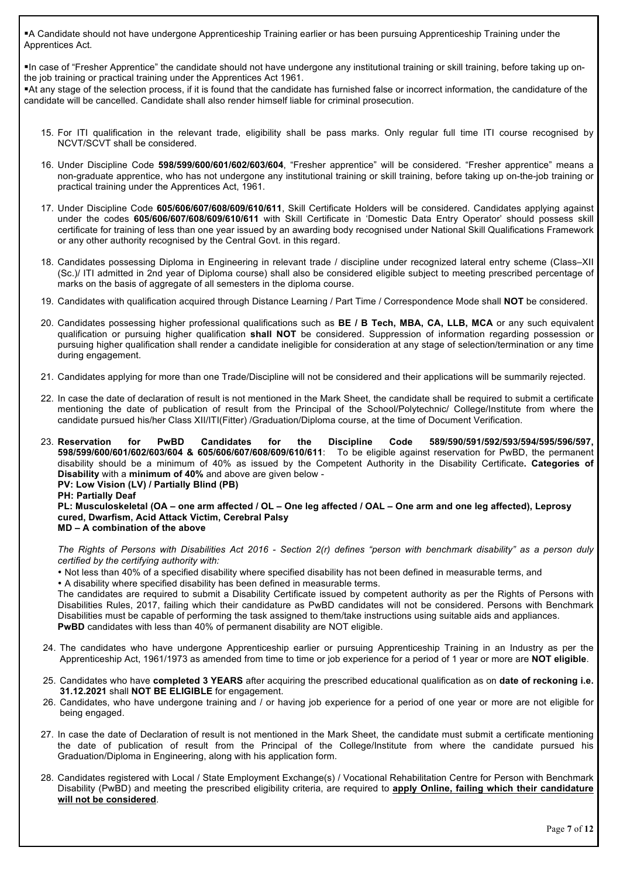§A Candidate should not have undergone Apprenticeship Training earlier or has been pursuing Apprenticeship Training under the Apprentices Act.

§In case of "Fresher Apprentice" the candidate should not have undergone any institutional training or skill training, before taking up onthe job training or practical training under the Apprentices Act 1961.

•At any stage of the selection process, if it is found that the candidate has furnished false or incorrect information, the candidature of the candidate will be cancelled. Candidate shall also render himself liable for criminal prosecution.

- 15. For ITI qualification in the relevant trade, eligibility shall be pass marks. Only regular full time ITI course recognised by NCVT/SCVT shall be considered.
- 16. Under Discipline Code **598/599/600/601/602/603/604**, "Fresher apprentice" will be considered. "Fresher apprentice" means a non-graduate apprentice, who has not undergone any institutional training or skill training, before taking up on-the-job training or practical training under the Apprentices Act, 1961.
- 17. Under Discipline Code **605/606/607/608/609/610/611**, Skill Certificate Holders will be considered. Candidates applying against under the codes **605/606/607/608/609/610/611** with Skill Certificate in 'Domestic Data Entry Operator' should possess skill certificate for training of less than one year issued by an awarding body recognised under National Skill Qualifications Framework or any other authority recognised by the Central Govt. in this regard.
- 18. Candidates possessing Diploma in Engineering in relevant trade / discipline under recognized lateral entry scheme (Class–XII (Sc.)/ ITI admitted in 2nd year of Diploma course) shall also be considered eligible subject to meeting prescribed percentage of marks on the basis of aggregate of all semesters in the diploma course.
- 19. Candidates with qualification acquired through Distance Learning / Part Time / Correspondence Mode shall **NOT** be considered.
- 20. Candidates possessing higher professional qualifications such as **BE / B Tech, MBA, CA, LLB, MCA** or any such equivalent qualification or pursuing higher qualification **shall NOT** be considered. Suppression of information regarding possession or pursuing higher qualification shall render a candidate ineligible for consideration at any stage of selection/termination or any time during engagement.
- 21. Candidates applying for more than one Trade/Discipline will not be considered and their applications will be summarily rejected.
- 22. In case the date of declaration of result is not mentioned in the Mark Sheet, the candidate shall be required to submit a certificate mentioning the date of publication of result from the Principal of the School/Polytechnic/ College/Institute from where the candidate pursued his/her Class XII/ITI(Fitter) /Graduation/Diploma course, at the time of Document Verification.
- 23. **Reservation for PwBD Candidates for the Discipline Code 589/590/591/592/593/594/595/596/597, 598/599/600/601/602/603/604 & 605/606/607/608/609/610/611**: To be eligible against reservation for PwBD, the permanent disability should be a minimum of 40% as issued by the Competent Authority in the Disability Certificate**. Categories of Disability** with a **minimum of 40%** and above are given below - **PV: Low Vision (LV) / Partially Blind (PB)** 
	- **PH: Partially Deaf**

**PL: Musculoskeletal (OA – one arm affected / OL – One leg affected / OAL – One arm and one leg affected), Leprosy cured, Dwarfism, Acid Attack Victim, Cerebral Palsy**

**MD – A combination of the above**

*The Rights of Persons with Disabilities Act 2016 - Section 2(r) defines "person with benchmark disability" as a person duly certified by the certifying authority with:*

• Not less than 40% of a specified disability where specified disability has not been defined in measurable terms, and

• A disability where specified disability has been defined in measurable terms.

The candidates are required to submit a Disability Certificate issued by competent authority as per the Rights of Persons with Disabilities Rules, 2017, failing which their candidature as PwBD candidates will not be considered. Persons with Benchmark Disabilities must be capable of performing the task assigned to them/take instructions using suitable aids and appliances. **PwBD** candidates with less than 40% of permanent disability are NOT eligible.

- 24. The candidates who have undergone Apprenticeship earlier or pursuing Apprenticeship Training in an Industry as per the Apprenticeship Act, 1961/1973 as amended from time to time or job experience for a period of 1 year or more are **NOT eligible**.
- 25. Candidates who have **completed 3 YEARS** after acquiring the prescribed educational qualification as on **date of reckoning i.e. 31.12.2021** shall **NOT BE ELIGIBLE** for engagement.
- 26. Candidates, who have undergone training and / or having job experience for a period of one year or more are not eligible for being engaged.
- 27. In case the date of Declaration of result is not mentioned in the Mark Sheet, the candidate must submit a certificate mentioning the date of publication of result from the Principal of the College/Institute from where the candidate pursued his Graduation/Diploma in Engineering, along with his application form.
- 28. Candidates registered with Local / State Employment Exchange(s) / Vocational Rehabilitation Centre for Person with Benchmark Disability (PwBD) and meeting the prescribed eligibility criteria, are required to **apply Online, failing which their candidature will not be considered**.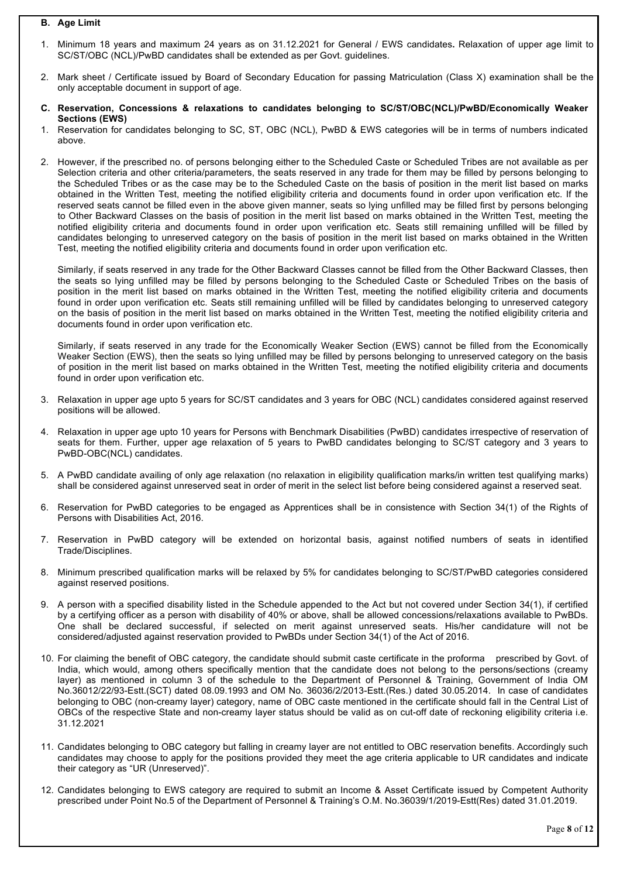### **B. Age Limit**

- 1. Minimum 18 years and maximum 24 years as on 31.12.2021 for General / EWS candidates**.** Relaxation of upper age limit to SC/ST/OBC (NCL)/PwBD candidates shall be extended as per Govt. guidelines.
- 2. Mark sheet / Certificate issued by Board of Secondary Education for passing Matriculation (Class X) examination shall be the only acceptable document in support of age.
- **C. Reservation, Concessions & relaxations to candidates belonging to SC/ST/OBC(NCL)/PwBD/Economically Weaker Sections (EWS)**
- 1. Reservation for candidates belonging to SC, ST, OBC (NCL), PwBD & EWS categories will be in terms of numbers indicated above.
- 2. However, if the prescribed no. of persons belonging either to the Scheduled Caste or Scheduled Tribes are not available as per Selection criteria and other criteria/parameters, the seats reserved in any trade for them may be filled by persons belonging to the Scheduled Tribes or as the case may be to the Scheduled Caste on the basis of position in the merit list based on marks obtained in the Written Test, meeting the notified eligibility criteria and documents found in order upon verification etc. If the reserved seats cannot be filled even in the above given manner, seats so lying unfilled may be filled first by persons belonging to Other Backward Classes on the basis of position in the merit list based on marks obtained in the Written Test, meeting the notified eligibility criteria and documents found in order upon verification etc. Seats still remaining unfilled will be filled by candidates belonging to unreserved category on the basis of position in the merit list based on marks obtained in the Written Test, meeting the notified eligibility criteria and documents found in order upon verification etc.

Similarly, if seats reserved in any trade for the Other Backward Classes cannot be filled from the Other Backward Classes, then the seats so lying unfilled may be filled by persons belonging to the Scheduled Caste or Scheduled Tribes on the basis of position in the merit list based on marks obtained in the Written Test, meeting the notified eligibility criteria and documents found in order upon verification etc. Seats still remaining unfilled will be filled by candidates belonging to unreserved category on the basis of position in the merit list based on marks obtained in the Written Test, meeting the notified eligibility criteria and documents found in order upon verification etc.

Similarly, if seats reserved in any trade for the Economically Weaker Section (EWS) cannot be filled from the Economically Weaker Section (EWS), then the seats so lying unfilled may be filled by persons belonging to unreserved category on the basis of position in the merit list based on marks obtained in the Written Test, meeting the notified eligibility criteria and documents found in order upon verification etc.

- 3. Relaxation in upper age upto 5 years for SC/ST candidates and 3 years for OBC (NCL) candidates considered against reserved positions will be allowed.
- 4. Relaxation in upper age upto 10 years for Persons with Benchmark Disabilities (PwBD) candidates irrespective of reservation of seats for them. Further, upper age relaxation of 5 years to PwBD candidates belonging to SC/ST category and 3 years to PwBD-OBC(NCL) candidates.
- 5. A PwBD candidate availing of only age relaxation (no relaxation in eligibility qualification marks/in written test qualifying marks) shall be considered against unreserved seat in order of merit in the select list before being considered against a reserved seat.
- 6. Reservation for PwBD categories to be engaged as Apprentices shall be in consistence with Section 34(1) of the Rights of Persons with Disabilities Act, 2016.
- 7. Reservation in PwBD category will be extended on horizontal basis, against notified numbers of seats in identified Trade/Disciplines.
- 8. Minimum prescribed qualification marks will be relaxed by 5% for candidates belonging to SC/ST/PwBD categories considered against reserved positions.
- 9. A person with a specified disability listed in the Schedule appended to the Act but not covered under Section 34(1), if certified by a certifying officer as a person with disability of 40% or above, shall be allowed concessions/relaxations available to PwBDs. One shall be declared successful, if selected on merit against unreserved seats. His/her candidature will not be considered/adjusted against reservation provided to PwBDs under Section 34(1) of the Act of 2016.
- 10. For claiming the benefit of OBC category, the candidate should submit caste certificate in the proforma prescribed by Govt. of India, which would, among others specifically mention that the candidate does not belong to the persons/sections (creamy layer) as mentioned in column 3 of the schedule to the Department of Personnel & Training, Government of India OM No.36012/22/93-Estt.(SCT) dated 08.09.1993 and OM No. 36036/2/2013-Estt.(Res.) dated 30.05.2014. In case of candidates belonging to OBC (non-creamy layer) category, name of OBC caste mentioned in the certificate should fall in the Central List of OBCs of the respective State and non-creamy layer status should be valid as on cut-off date of reckoning eligibility criteria i.e. 31.12.2021
- 11. Candidates belonging to OBC category but falling in creamy layer are not entitled to OBC reservation benefits. Accordingly such candidates may choose to apply for the positions provided they meet the age criteria applicable to UR candidates and indicate their category as "UR (Unreserved)".
- 12. Candidates belonging to EWS category are required to submit an Income & Asset Certificate issued by Competent Authority prescribed under Point No.5 of the Department of Personnel & Training's O.M. No.36039/1/2019-Estt(Res) dated 31.01.2019.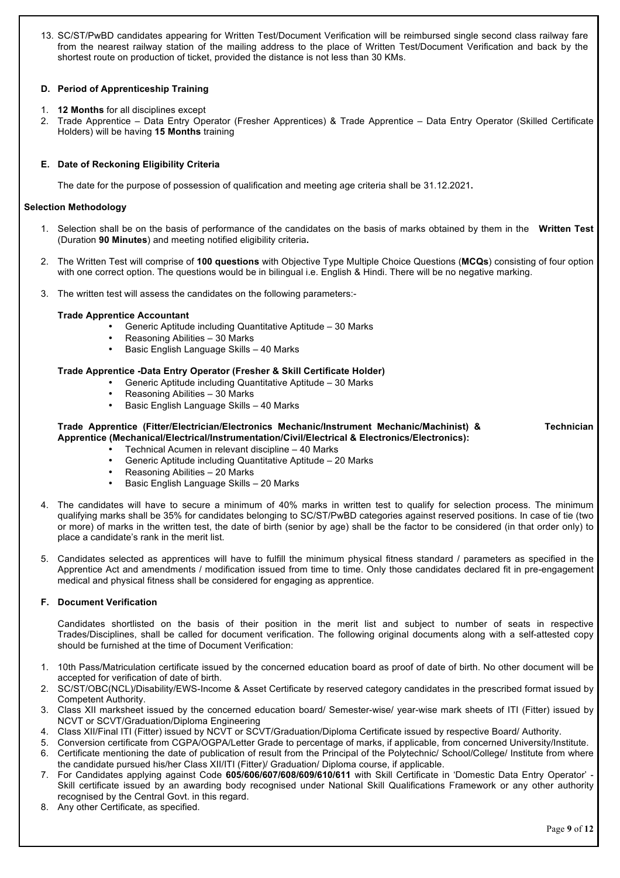13. SC/ST/PwBD candidates appearing for Written Test/Document Verification will be reimbursed single second class railway fare from the nearest railway station of the mailing address to the place of Written Test/Document Verification and back by the shortest route on production of ticket, provided the distance is not less than 30 KMs.

# **D. Period of Apprenticeship Training**

- 1. **12 Months** for all disciplines except
- 2. Trade Apprentice Data Entry Operator (Fresher Apprentices) & Trade Apprentice Data Entry Operator (Skilled Certificate Holders) will be having **15 Months** training

# **E. Date of Reckoning Eligibility Criteria**

The date for the purpose of possession of qualification and meeting age criteria shall be 31.12.2021**.**

### **Selection Methodology**

- 1. Selection shall be on the basis of performance of the candidates on the basis of marks obtained by them in the **Written Test** (Duration **90 Minutes**) and meeting notified eligibility criteria**.**
- 2. The Written Test will comprise of **100 questions** with Objective Type Multiple Choice Questions (**MCQs**) consisting of four option with one correct option. The questions would be in bilingual i.e. English & Hindi. There will be no negative marking.
- 3. The written test will assess the candidates on the following parameters:-

### **Trade Apprentice Accountant**

- Generic Aptitude including Quantitative Aptitude 30 Marks
- Reasoning Abilities 30 Marks
- Basic English Language Skills 40 Marks

# **Trade Apprentice -Data Entry Operator (Fresher & Skill Certificate Holder)**

- Generic Aptitude including Quantitative Aptitude 30 Marks
- Reasoning Abilities 30 Marks<br>• Basic English Language Skills -
- Basic English Language Skills 40 Marks

#### **Trade Apprentice (Fitter/Electrician/Electronics Mechanic/Instrument Mechanic/Machinist) & Technician Apprentice (Mechanical/Electrical/Instrumentation/Civil/Electrical & Electronics/Electronics):**

- Technical Acumen in relevant discipline 40 Marks
- Generic Aptitude including Quantitative Aptitude 20 Marks
- Reasoning Abilities 20 Marks
- Basic English Language Skills 20 Marks
- 4. The candidates will have to secure a minimum of 40% marks in written test to qualify for selection process. The minimum qualifying marks shall be 35% for candidates belonging to SC/ST/PwBD categories against reserved positions. In case of tie (two or more) of marks in the written test, the date of birth (senior by age) shall be the factor to be considered (in that order only) to place a candidate's rank in the merit list.
- 5. Candidates selected as apprentices will have to fulfill the minimum physical fitness standard / parameters as specified in the Apprentice Act and amendments / modification issued from time to time. Only those candidates declared fit in pre-engagement medical and physical fitness shall be considered for engaging as apprentice.

### **F. Document Verification**

Candidates shortlisted on the basis of their position in the merit list and subject to number of seats in respective Trades/Disciplines, shall be called for document verification. The following original documents along with a self-attested copy should be furnished at the time of Document Verification:

- 1. 10th Pass/Matriculation certificate issued by the concerned education board as proof of date of birth. No other document will be accepted for verification of date of birth.
- 2. SC/ST/OBC(NCL)/Disability/EWS-Income & Asset Certificate by reserved category candidates in the prescribed format issued by Competent Authority.
- 3. Class XII marksheet issued by the concerned education board/ Semester-wise/ year-wise mark sheets of ITI (Fitter) issued by NCVT or SCVT/Graduation/Diploma Engineering
- 4. Class XII/Final ITI (Fitter) issued by NCVT or SCVT/Graduation/Diploma Certificate issued by respective Board/ Authority.
- 5. Conversion certificate from CGPA/OGPA/Letter Grade to percentage of marks, if applicable, from concerned University/Institute. 6. Certificate mentioning the date of publication of result from the Principal of the Polytechnic/ School/College/ Institute from where the candidate pursued his/her Class XII/ITI (Fitter)/ Graduation/ Diploma course, if applicable.
- 7. For Candidates applying against Code **605/606/607/608/609/610/611** with Skill Certificate in 'Domestic Data Entry Operator' Skill certificate issued by an awarding body recognised under National Skill Qualifications Framework or any other authority recognised by the Central Govt. in this regard.
- 8. Any other Certificate, as specified.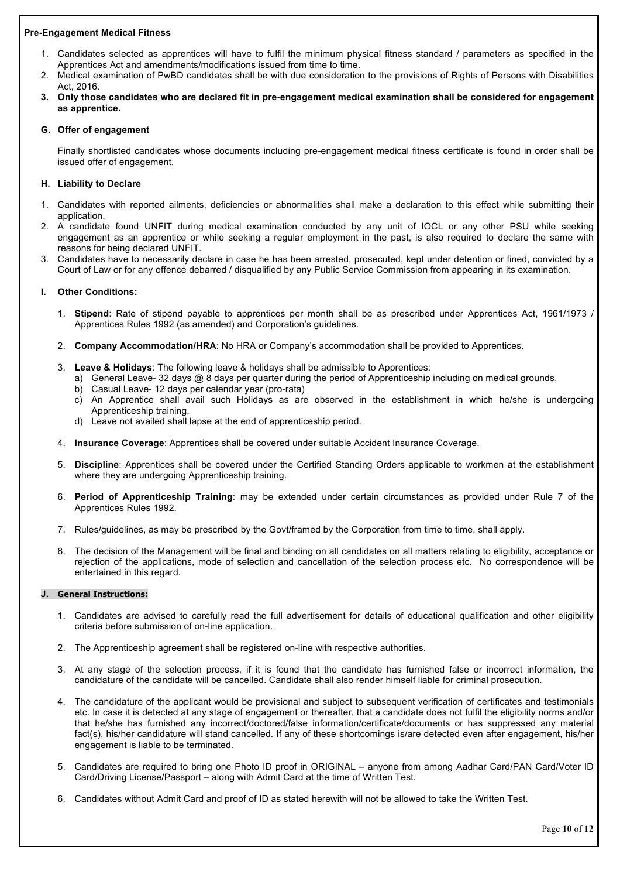# **Pre-Engagement Medical Fitness**

- 1. Candidates selected as apprentices will have to fulfil the minimum physical fitness standard / parameters as specified in the Apprentices Act and amendments/modifications issued from time to time.
- 2. Medical examination of PwBD candidates shall be with due consideration to the provisions of Rights of Persons with Disabilities Act, 2016.
- **3. Only those candidates who are declared fit in pre-engagement medical examination shall be considered for engagement as apprentice.**

### **G. Offer of engagement**

Finally shortlisted candidates whose documents including pre-engagement medical fitness certificate is found in order shall be issued offer of engagement.

# **H. Liability to Declare**

- 1. Candidates with reported ailments, deficiencies or abnormalities shall make a declaration to this effect while submitting their application.
- 2. A candidate found UNFIT during medical examination conducted by any unit of IOCL or any other PSU while seeking engagement as an apprentice or while seeking a regular employment in the past, is also required to declare the same with reasons for being declared UNFIT.
- 3. Candidates have to necessarily declare in case he has been arrested, prosecuted, kept under detention or fined, convicted by a Court of Law or for any offence debarred / disqualified by any Public Service Commission from appearing in its examination.

# **I. Other Conditions:**

- 1. **Stipend**: Rate of stipend payable to apprentices per month shall be as prescribed under Apprentices Act, 1961/1973 / Apprentices Rules 1992 (as amended) and Corporation's guidelines.
- 2. **Company Accommodation/HRA**: No HRA or Company's accommodation shall be provided to Apprentices.
- 3. **Leave & Holidays**: The following leave & holidays shall be admissible to Apprentices:
	- a) General Leave- 32 days @ 8 days per quarter during the period of Apprenticeship including on medical grounds.
	- b) Casual Leave- 12 days per calendar year (pro-rata)
	- c) An Apprentice shall avail such Holidays as are observed in the establishment in which he/she is undergoing Apprenticeship training.
	- d) Leave not availed shall lapse at the end of apprenticeship period.
- 4. **Insurance Coverage**: Apprentices shall be covered under suitable Accident Insurance Coverage.
- 5. **Discipline**: Apprentices shall be covered under the Certified Standing Orders applicable to workmen at the establishment where they are undergoing Apprenticeship training.
- 6. **Period of Apprenticeship Training**: may be extended under certain circumstances as provided under Rule 7 of the Apprentices Rules 1992.
- 7. Rules/guidelines, as may be prescribed by the Govt/framed by the Corporation from time to time, shall apply.
- 8. The decision of the Management will be final and binding on all candidates on all matters relating to eligibility, acceptance or rejection of the applications, mode of selection and cancellation of the selection process etc. No correspondence will be entertained in this regard.

### **J. General Instructions:**

- 1. Candidates are advised to carefully read the full advertisement for details of educational qualification and other eligibility criteria before submission of on-line application.
- 2. The Apprenticeship agreement shall be registered on-line with respective authorities.
- 3. At any stage of the selection process, if it is found that the candidate has furnished false or incorrect information, the candidature of the candidate will be cancelled. Candidate shall also render himself liable for criminal prosecution.
- 4. The candidature of the applicant would be provisional and subject to subsequent verification of certificates and testimonials etc. In case it is detected at any stage of engagement or thereafter, that a candidate does not fulfil the eligibility norms and/or that he/she has furnished any incorrect/doctored/false information/certificate/documents or has suppressed any material fact(s), his/her candidature will stand cancelled. If any of these shortcomings is/are detected even after engagement, his/her engagement is liable to be terminated.
- 5. Candidates are required to bring one Photo ID proof in ORIGINAL anyone from among Aadhar Card/PAN Card/Voter ID Card/Driving License/Passport – along with Admit Card at the time of Written Test.
- 6. Candidates without Admit Card and proof of ID as stated herewith will not be allowed to take the Written Test.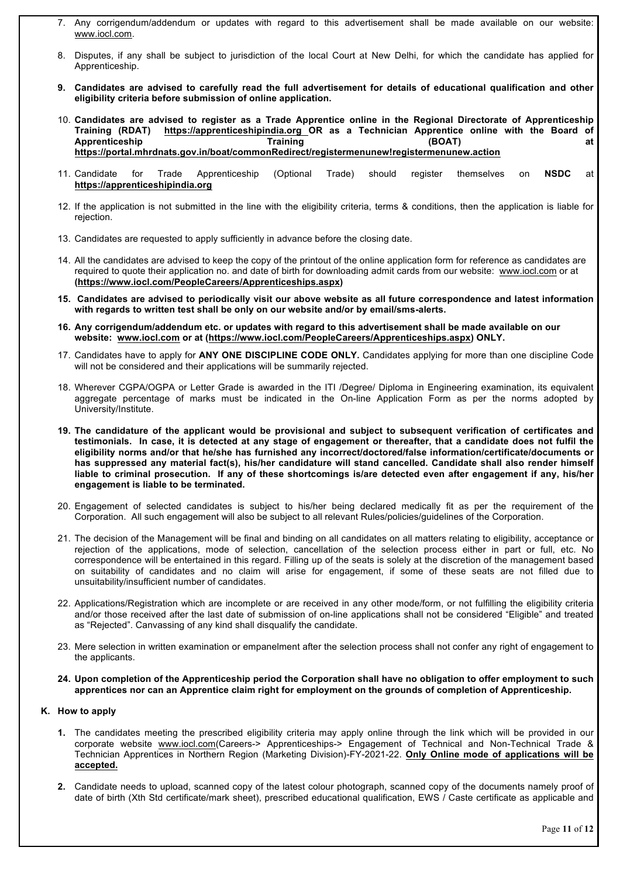- 7. Any corrigendum/addendum or updates with regard to this advertisement shall be made available on our website: www.iocl.com.
- 8. Disputes, if any shall be subject to jurisdiction of the local Court at New Delhi, for which the candidate has applied for Apprenticeship.
- **9. Candidates are advised to carefully read the full advertisement for details of educational qualification and other eligibility criteria before submission of online application.**
- 10. **Candidates are advised to register as a Trade Apprentice online in the Regional Directorate of Apprenticeship Training (RDAT) https://apprenticeshipindia.org OR as a Technician Apprentice online with the Board of Apprenticeship Training (BOAT) at https://portal.mhrdnats.gov.in/boat/commonRedirect/registermenunew!registermenunew.action**
- 11. Candidate for Trade Apprenticeship (Optional Trade) should register themselves on **NSDC** at **https://apprenticeshipindia.org**
- 12. If the application is not submitted in the line with the eligibility criteria, terms & conditions, then the application is liable for rejection.
- 13. Candidates are requested to apply sufficiently in advance before the closing date.
- 14. All the candidates are advised to keep the copy of the printout of the online application form for reference as candidates are required to quote their application no. and date of birth for downloading admit cards from our website: www.iocl.com or at **(https://www.iocl.com/PeopleCareers/Apprenticeships.aspx)**
- **15. Candidates are advised to periodically visit our above website as all future correspondence and latest information with regards to written test shall be only on our website and/or by email/sms-alerts.**
- **16. Any corrigendum/addendum etc. or updates with regard to this advertisement shall be made available on our website: www.iocl.com or at (https://www.iocl.com/PeopleCareers/Apprenticeships.aspx) ONLY.**
- 17. Candidates have to apply for **ANY ONE DISCIPLINE CODE ONLY.** Candidates applying for more than one discipline Code will not be considered and their applications will be summarily rejected.
- 18. Wherever CGPA/OGPA or Letter Grade is awarded in the ITI /Degree/ Diploma in Engineering examination, its equivalent aggregate percentage of marks must be indicated in the On-line Application Form as per the norms adopted by University/Institute.
- **19. The candidature of the applicant would be provisional and subject to subsequent verification of certificates and testimonials. In case, it is detected at any stage of engagement or thereafter, that a candidate does not fulfil the eligibility norms and/or that he/she has furnished any incorrect/doctored/false information/certificate/documents or has suppressed any material fact(s), his/her candidature will stand cancelled. Candidate shall also render himself liable to criminal prosecution. If any of these shortcomings is/are detected even after engagement if any, his/her engagement is liable to be terminated.**
- 20. Engagement of selected candidates is subject to his/her being declared medically fit as per the requirement of the Corporation. All such engagement will also be subject to all relevant Rules/policies/guidelines of the Corporation.
- 21. The decision of the Management will be final and binding on all candidates on all matters relating to eligibility, acceptance or rejection of the applications, mode of selection, cancellation of the selection process either in part or full, etc. No correspondence will be entertained in this regard. Filling up of the seats is solely at the discretion of the management based on suitability of candidates and no claim will arise for engagement, if some of these seats are not filled due to unsuitability/insufficient number of candidates.
- 22. Applications/Registration which are incomplete or are received in any other mode/form, or not fulfilling the eligibility criteria and/or those received after the last date of submission of on-line applications shall not be considered "Eligible" and treated as "Rejected". Canvassing of any kind shall disqualify the candidate.
- 23. Mere selection in written examination or empanelment after the selection process shall not confer any right of engagement to the applicants.
- **24. Upon completion of the Apprenticeship period the Corporation shall have no obligation to offer employment to such apprentices nor can an Apprentice claim right for employment on the grounds of completion of Apprenticeship.**

### **K. How to apply**

- **1.** The candidates meeting the prescribed eligibility criteria may apply online through the link which will be provided in our corporate website www.iocl.com(Careers-> Apprenticeships-> Engagement of Technical and Non-Technical Trade & Technician Apprentices in Northern Region (Marketing Division)-FY-2021-22. **Only Online mode of applications will be accepted.**
- **2.** Candidate needs to upload, scanned copy of the latest colour photograph, scanned copy of the documents namely proof of date of birth (Xth Std certificate/mark sheet), prescribed educational qualification, EWS / Caste certificate as applicable and